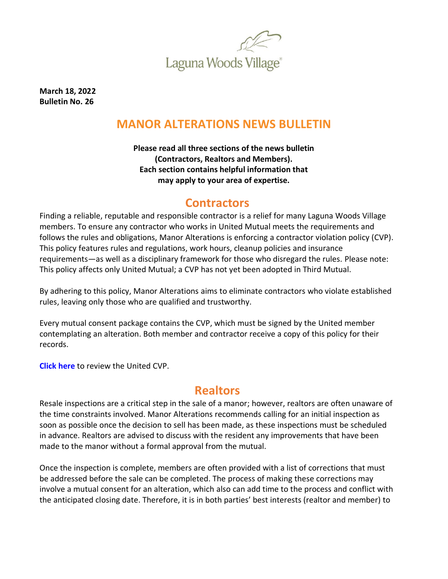

**March 18, 2022 Bulletin No. 26**

# **MANOR ALTERATIONS NEWS BULLETIN**

**Please read all three sections of the news bulletin (Contractors, Realtors and Members). Each section contains helpful information that may apply to your area of expertise.**

### **Contractors**

Finding a reliable, reputable and responsible contractor is a relief for many Laguna Woods Village members. To ensure any contractor who works in United Mutual meets the requirements and follows the rules and obligations, Manor Alterations is enforcing a contractor violation policy (CVP). This policy features rules and regulations, work hours, cleanup policies and insurance requirements—as well as a disciplinary framework for those who disregard the rules. Please note: This policy affects only United Mutual; a CVP has not yet been adopted in Third Mutual.

By adhering to this policy, Manor Alterations aims to eliminate contractors who violate established rules, leaving only those who are qualified and trustworthy.

Every mutual consent package contains the CVP, which must be signed by the United member contemplating an alteration. Both member and contractor receive a copy of this policy for their records.

**[Click here](https://www.lagunawoodsvillage.com/documents/view/Contractor-Violation-Policy.pdf?v=1636501575)** to review the United CVP.

#### **Realtors**

Resale inspections are a critical step in the sale of a manor; however, realtors are often unaware of the time constraints involved. Manor Alterations recommends calling for an initial inspection as soon as possible once the decision to sell has been made, as these inspections must be scheduled in advance. Realtors are advised to discuss with the resident any improvements that have been made to the manor without a formal approval from the mutual.

Once the inspection is complete, members are often provided with a list of corrections that must be addressed before the sale can be completed. The process of making these corrections may involve a mutual consent for an alteration, which also can add time to the process and conflict with the anticipated closing date. Therefore, it is in both parties' best interests (realtor and member) to